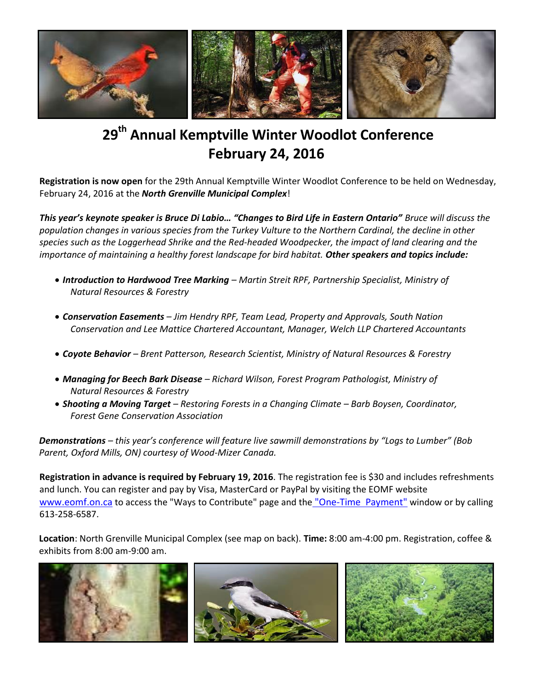

## **29 th Annual Kemptville Winter Woodlot Conference February 24, 2016**

**Registration is now open** for the 29th Annual Kemptville Winter Woodlot Conference to be held on Wednesday, February 24, 2016 at the *North Grenville Municipal Complex*!

*This year's keynote speaker is Bruce Di Labio… "Changes to Bird Life in Eastern Ontario" Bruce will discuss the population changes in various species from the Turkey Vulture to the Northern Cardinal, the decline in other species such as the Loggerhead Shrike and the Red-headed Woodpecker, the impact of land clearing and the importance of maintaining a healthy forest landscape for bird habitat. Other speakers and topics include:*

- *Introduction to Hardwood Tree Marking – Martin Streit RPF, Partnership Specialist, Ministry of Natural Resources & Forestry*
- *Conservation Easements – Jim Hendry RPF, Team Lead, Property and Approvals, South Nation Conservation and Lee Mattice Chartered Accountant, Manager, Welch LLP Chartered Accountants*
- *Coyote Behavior – Brent Patterson, Research Scientist, Ministry of Natural Resources & Forestry*
- *Managing for Beech Bark Disease – Richard Wilson, Forest Program Pathologist, Ministry of Natural Resources & Forestry*
- *Shooting a Moving Target – Restoring Forests in a Changing Climate – Barb Boysen, Coordinator, Forest Gene Conservation Association*

*Demonstrations – this year's conference will feature live sawmill demonstrations by "Logs to Lumber" (Bob Parent, Oxford Mills, ON) courtesy of Wood-Mizer Canada.*

**Registration in advance is required by February 19, 2016**. The registration fee is \$30 and includes refreshments and lunch. You can register and pay by Visa, MasterCard or PayPal by visiting the EOMF website [www.eomf.on.ca](http://www.eomf.on.ca/) to access the "Ways to Contribute" page and the "One-Time Payment" window or by calling 613-258-6587.

**Location**: North Grenville Municipal Complex (see map on back). **Time:** 8:00 am-4:00 pm. Registration, coffee & exhibits from 8:00 am-9:00 am.